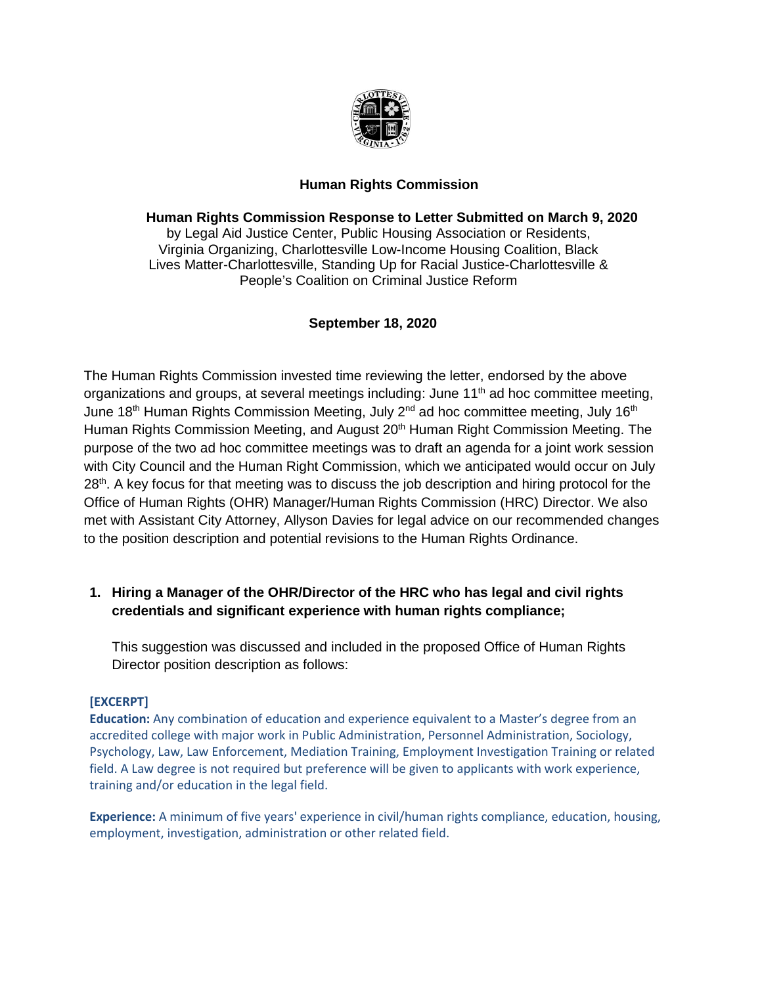

### **Human Rights Commission**

### **Human Rights Commission Response to Letter Submitted on March 9, 2020**

by Legal Aid Justice Center, Public Housing Association or Residents, Virginia Organizing, Charlottesville Low-Income Housing Coalition, Black Lives Matter-Charlottesville, Standing Up for Racial Justice-Charlottesville & People's Coalition on Criminal Justice Reform

### **September 18, 2020**

The Human Rights Commission invested time reviewing the letter, endorsed by the above organizations and groups, at several meetings including: June 11<sup>th</sup> ad hoc committee meeting, June 18<sup>th</sup> Human Rights Commission Meeting, July 2<sup>nd</sup> ad hoc committee meeting, July 16<sup>th</sup> Human Rights Commission Meeting, and August 20<sup>th</sup> Human Right Commission Meeting. The purpose of the two ad hoc committee meetings was to draft an agenda for a joint work session with City Council and the Human Right Commission, which we anticipated would occur on July 28<sup>th</sup>. A key focus for that meeting was to discuss the job description and hiring protocol for the Office of Human Rights (OHR) Manager/Human Rights Commission (HRC) Director. We also met with Assistant City Attorney, Allyson Davies for legal advice on our recommended changes to the position description and potential revisions to the Human Rights Ordinance.

# **1. Hiring a Manager of the OHR/Director of the HRC who has legal and civil rights credentials and significant experience with human rights compliance;**

This suggestion was discussed and included in the proposed Office of Human Rights Director position description as follows:

#### **[EXCERPT]**

**Education:** Any combination of education and experience equivalent to a Master's degree from an accredited college with major work in Public Administration, Personnel Administration, Sociology, Psychology, Law, Law Enforcement, Mediation Training, Employment Investigation Training or related field. A Law degree is not required but preference will be given to applicants with work experience, training and/or education in the legal field.

**Experience:** A minimum of five years' experience in civil/human rights compliance, education, housing, employment, investigation, administration or other related field.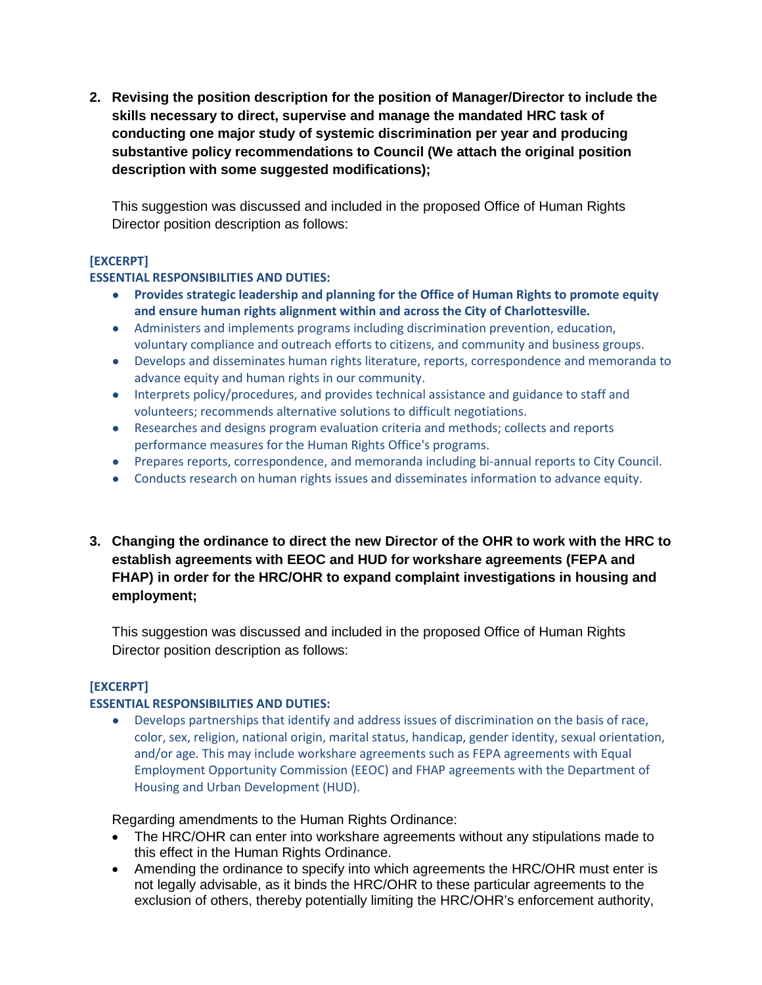**2. Revising the position description for the position of Manager/Director to include the skills necessary to direct, supervise and manage the mandated HRC task of conducting one major study of systemic discrimination per year and producing substantive policy recommendations to Council (We attach the original position description with some suggested modifications);**

This suggestion was discussed and included in the proposed Office of Human Rights Director position description as follows:

#### **[EXCERPT]**

#### **ESSENTIAL RESPONSIBILITIES AND DUTIES:**

- **Provides strategic leadership and planning for the Office of Human Rights to promote equity and ensure human rights alignment within and across the City of Charlottesville.**
- Administers and implements programs including discrimination prevention, education, voluntary compliance and outreach efforts to citizens, and community and business groups.
- Develops and disseminates human rights literature, reports, correspondence and memoranda to advance equity and human rights in our community.
- Interprets policy/procedures, and provides technical assistance and guidance to staff and volunteers; recommends alternative solutions to difficult negotiations.
- Researches and designs program evaluation criteria and methods; collects and reports performance measures for the Human Rights Office's programs.
- Prepares reports, correspondence, and memoranda including bi-annual reports to City Council.
- Conducts research on human rights issues and disseminates information to advance equity.
- **3. Changing the ordinance to direct the new Director of the OHR to work with the HRC to establish agreements with EEOC and HUD for workshare agreements (FEPA and FHAP) in order for the HRC/OHR to expand complaint investigations in housing and employment;**

This suggestion was discussed and included in the proposed Office of Human Rights Director position description as follows:

#### **[EXCERPT]**

#### **ESSENTIAL RESPONSIBILITIES AND DUTIES:**

● Develops partnerships that identify and address issues of discrimination on the basis of race, color, sex, religion, national origin, marital status, handicap, gender identity, sexual orientation, and/or age. This may include workshare agreements such as FEPA agreements with Equal Employment Opportunity Commission (EEOC) and FHAP agreements with the Department of Housing and Urban Development (HUD).

Regarding amendments to the Human Rights Ordinance:

- The HRC/OHR can enter into workshare agreements without any stipulations made to this effect in the Human Rights Ordinance.
- Amending the ordinance to specify into which agreements the HRC/OHR must enter is not legally advisable, as it binds the HRC/OHR to these particular agreements to the exclusion of others, thereby potentially limiting the HRC/OHR's enforcement authority,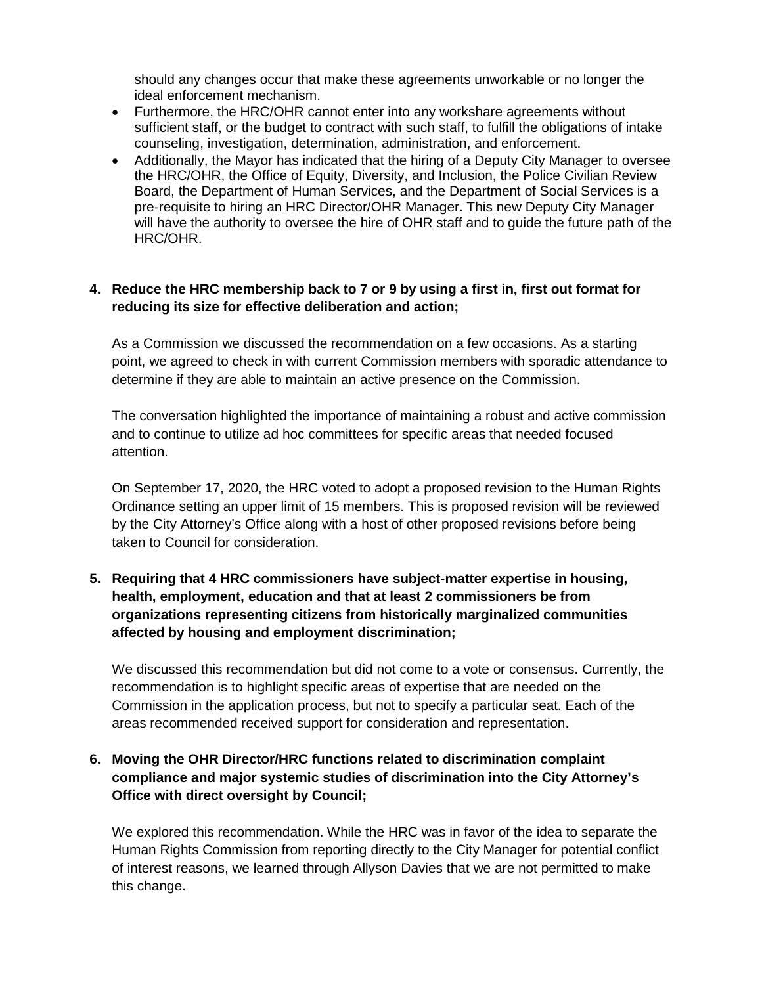should any changes occur that make these agreements unworkable or no longer the ideal enforcement mechanism.

- Furthermore, the HRC/OHR cannot enter into any workshare agreements without sufficient staff, or the budget to contract with such staff, to fulfill the obligations of intake counseling, investigation, determination, administration, and enforcement.
- Additionally, the Mayor has indicated that the hiring of a Deputy City Manager to oversee the HRC/OHR, the Office of Equity, Diversity, and Inclusion, the Police Civilian Review Board, the Department of Human Services, and the Department of Social Services is a pre-requisite to hiring an HRC Director/OHR Manager. This new Deputy City Manager will have the authority to oversee the hire of OHR staff and to guide the future path of the HRC/OHR.

# **4. Reduce the HRC membership back to 7 or 9 by using a first in, first out format for reducing its size for effective deliberation and action;**

As a Commission we discussed the recommendation on a few occasions. As a starting point, we agreed to check in with current Commission members with sporadic attendance to determine if they are able to maintain an active presence on the Commission.

The conversation highlighted the importance of maintaining a robust and active commission and to continue to utilize ad hoc committees for specific areas that needed focused attention.

On September 17, 2020, the HRC voted to adopt a proposed revision to the Human Rights Ordinance setting an upper limit of 15 members. This is proposed revision will be reviewed by the City Attorney's Office along with a host of other proposed revisions before being taken to Council for consideration.

# **5. Requiring that 4 HRC commissioners have subject-matter expertise in housing, health, employment, education and that at least 2 commissioners be from organizations representing citizens from historically marginalized communities affected by housing and employment discrimination;**

We discussed this recommendation but did not come to a vote or consensus. Currently, the recommendation is to highlight specific areas of expertise that are needed on the Commission in the application process, but not to specify a particular seat. Each of the areas recommended received support for consideration and representation.

# **6. Moving the OHR Director/HRC functions related to discrimination complaint compliance and major systemic studies of discrimination into the City Attorney's Office with direct oversight by Council;**

We explored this recommendation. While the HRC was in favor of the idea to separate the Human Rights Commission from reporting directly to the City Manager for potential conflict of interest reasons, we learned through Allyson Davies that we are not permitted to make this change.